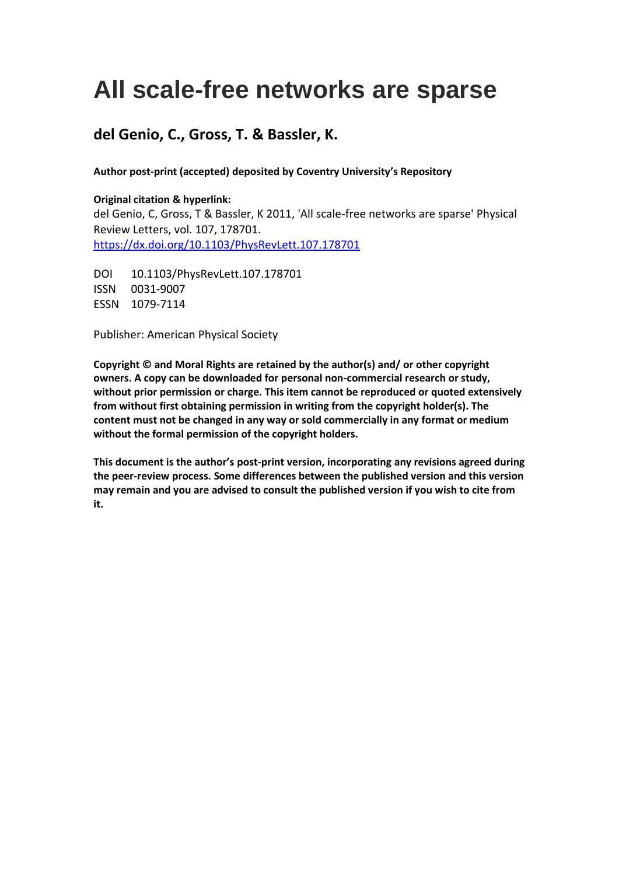# **All scale-free networks are sparse**

## **del Genio, C., Gross, T. & Bassler, K.**

### **Author post-print (accepted) deposited by Coventry University's Repository**

#### **Original citation & hyperlink:**

del Genio, C, Gross, T & Bassler, K 2011, 'All scale-free networks are sparse' Physical Review Letters, vol. 107, 178701. <https://dx.doi.org/10.1103/PhysRevLett.107.178701>

DOI 10.1103/PhysRevLett.107.178701 ISSN 0031-9007 ESSN 1079-7114

Publisher: American Physical Society

**Copyright © and Moral Rights are retained by the author(s) and/ or other copyright owners. A copy can be downloaded for personal non-commercial research or study, without prior permission or charge. This item cannot be reproduced or quoted extensively from without first obtaining permission in writing from the copyright holder(s). The content must not be changed in any way or sold commercially in any format or medium without the formal permission of the copyright holders.** 

**This document is the author's post-print version, incorporating any revisions agreed during the peer-review process. Some differences between the published version and this version may remain and you are advised to consult the published version if you wish to cite from it.**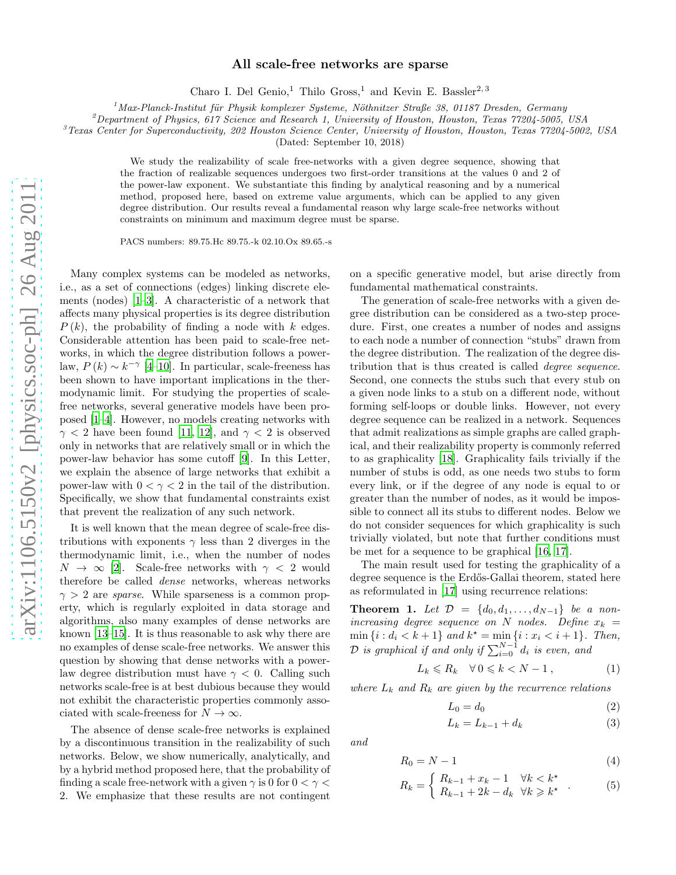#### All scale-free networks are sparse

Charo I. Del Genio,<sup>1</sup> Thilo Gross,<sup>1</sup> and Kevin E. Bassler<sup>2,3</sup>

 $1<sup>1</sup> Max-Planck-Institut für Physik komplexer Systeme, Nöthnitzer Straße 38, 01187 Dresden, Germany$ 

 $^{2}$ Department of Physics, 617 Science and Research 1, University of Houston, Houston, Texas 77204-5005, USA

 ${}^{3}$ Texas Center for Superconductivity, 202 Houston Science Center, University of Houston, Houston, Texas 77204-5002, USA

(Dated: September 10, 2018)

We study the realizability of scale free-networks with a given degree sequence, showing that the fraction of realizable sequences undergoes two first-order transitions at the values 0 and 2 of the power-law exponent. We substantiate this finding by analytical reasoning and by a numerical method, proposed here, based on extreme value arguments, which can be applied to any given degree distribution. Our results reveal a fundamental reason why large scale-free networks without constraints on minimum and maximum degree must be sparse.

PACS numbers: 89.75.Hc 89.75.-k 02.10.Ox 89.65.-s

Many complex systems can be modeled as networks, i.e., as a set of connections (edges) linking discrete elements (nodes) [\[1](#page-4-0)[–3\]](#page-4-1). A characteristic of a network that affects many physical properties is its degree distribution  $P(k)$ , the probability of finding a node with k edges. Considerable attention has been paid to scale-free networks, in which the degree distribution follows a powerlaw,  $P(k) \sim k^{-\gamma}$  [\[4](#page-4-2)-10]. In particular, scale-freeness has been shown to have important implications in the thermodynamic limit. For studying the properties of scalefree networks, several generative models have been proposed [\[1](#page-4-0)[–4\]](#page-4-2). However, no models creating networks with  $\gamma$  < 2 have been found [\[11,](#page-4-4) [12\]](#page-4-5), and  $\gamma$  < 2 is observed only in networks that are relatively small or in which the power-law behavior has some cutoff [\[9\]](#page-4-6). In this Letter, we explain the absence of large networks that exhibit a power-law with  $0 < \gamma < 2$  in the tail of the distribution. Specifically, we show that fundamental constraints exist that prevent the realization of any such network.

It is well known that the mean degree of scale-free distributions with exponents  $\gamma$  less than 2 diverges in the thermodynamic limit, i.e., when the number of nodes  $N \to \infty$  [\[2\]](#page-4-7). Scale-free networks with  $\gamma < 2$  would therefore be called dense networks, whereas networks  $\gamma > 2$  are *sparse*. While sparseness is a common property, which is regularly exploited in data storage and algorithms, also many examples of dense networks are known [\[13](#page-4-8)[–15\]](#page-4-9). It is thus reasonable to ask why there are no examples of dense scale-free networks. We answer this question by showing that dense networks with a powerlaw degree distribution must have  $\gamma < 0$ . Calling such networks scale-free is at best dubious because they would not exhibit the characteristic properties commonly associated with scale-freeness for  $N \to \infty$ .

The absence of dense scale-free networks is explained by a discontinuous transition in the realizability of such networks. Below, we show numerically, analytically, and by a hybrid method proposed here, that the probability of finding a scale free-network with a given  $\gamma$  is 0 for  $0 < \gamma <$ 2. We emphasize that these results are not contingent

on a specific generative model, but arise directly from fundamental mathematical constraints.

The generation of scale-free networks with a given degree distribution can be considered as a two-step procedure. First, one creates a number of nodes and assigns to each node a number of connection "stubs" drawn from the degree distribution. The realization of the degree distribution that is thus created is called degree sequence. Second, one connects the stubs such that every stub on a given node links to a stub on a different node, without forming self-loops or double links. However, not every degree sequence can be realized in a network. Sequences that admit realizations as simple graphs are called graphical, and their realizability property is commonly referred to as graphicality [\[18](#page-4-10)]. Graphicality fails trivially if the number of stubs is odd, as one needs two stubs to form every link, or if the degree of any node is equal to or greater than the number of nodes, as it would be impossible to connect all its stubs to different nodes. Below we do not consider sequences for which graphicality is such trivially violated, but note that further conditions must be met for a sequence to be graphical [\[16](#page-4-11), [17\]](#page-4-12).

The main result used for testing the graphicality of a degree sequence is the Erdős-Gallai theorem, stated here as reformulated in [\[17](#page-4-12)] using recurrence relations:

<span id="page-1-0"></span>**Theorem 1.** Let  $\mathcal{D} = \{d_0, d_1, \ldots, d_{N-1}\}\$  be a nonincreasing degree sequence on N nodes. Define  $x_k =$  $\min\{i : d_i < k+1\}$  and  $k^* = \min\{i : x_i < i+1\}$ . Then,  $\mathcal D$  is graphical if and only if  $\sum_{i=0}^{N-1} d_i$  is even, and

<span id="page-1-1"></span>
$$
L_k \le R_k \quad \forall \, 0 \le k < N - 1 \,, \tag{1}
$$

where  $L_k$  and  $R_k$  are given by the recurrence relations

$$
L_0 = d_0 \tag{2}
$$

<span id="page-1-2"></span>
$$
L_k = L_{k-1} + d_k \tag{3}
$$

and

$$
R_0 = N - 1 \tag{4}
$$

$$
R_k = \begin{cases} R_{k-1} + x_k - 1 & \forall k < k^\star \\ R_{k-1} + 2k - d_k & \forall k \geqslant k^\star \end{cases} \tag{5}
$$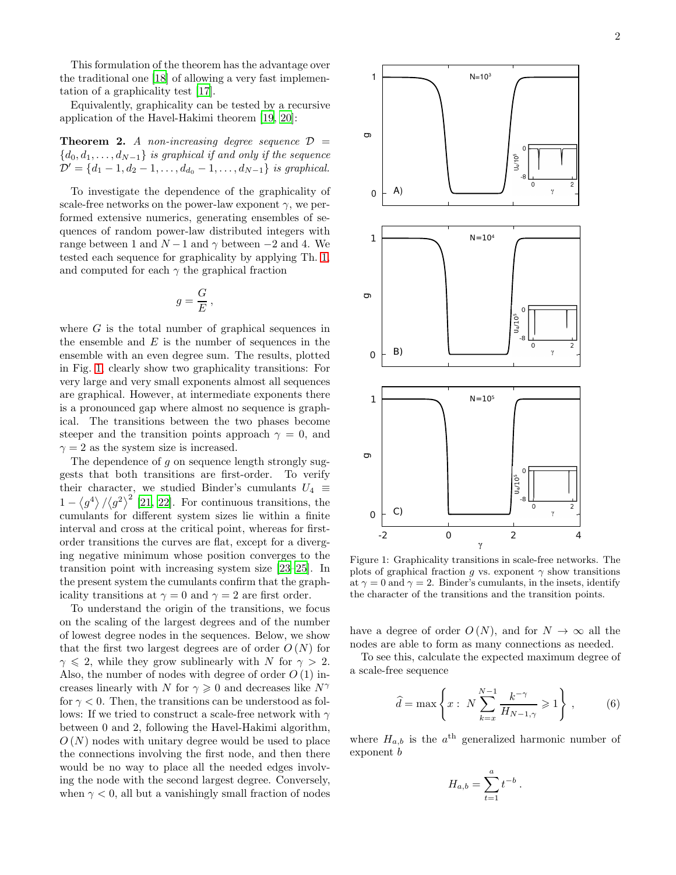This formulation of the theorem has the advantage over the traditional one [\[18](#page-4-10)] of allowing a very fast implementation of a graphicality test [\[17\]](#page-4-12).

Equivalently, graphicality can be tested by a recursive application of the Havel-Hakimi theorem [\[19](#page-4-13), [20](#page-4-14)]:

**Theorem 2.** A non-increasing degree sequence  $\mathcal{D}$  =  ${d_0, d_1, \ldots, d_{N-1}}$  is graphical if and only if the sequence  $\mathcal{D}' = \{d_1 - 1, d_2 - 1, \ldots, d_{d_0} - 1, \ldots, d_{N-1}\}\$ is graphical.

To investigate the dependence of the graphicality of scale-free networks on the power-law exponent  $\gamma$ , we performed extensive numerics, generating ensembles of sequences of random power-law distributed integers with range between 1 and  $N-1$  and  $\gamma$  between  $-2$  and 4. We tested each sequence for graphicality by applying Th. [1,](#page-1-0) and computed for each  $\gamma$  the graphical fraction

$$
g=\frac{G}{E},
$$

where  $G$  is the total number of graphical sequences in the ensemble and  $E$  is the number of sequences in the ensemble with an even degree sum. The results, plotted in Fig. [1,](#page-2-0) clearly show two graphicality transitions: For very large and very small exponents almost all sequences are graphical. However, at intermediate exponents there is a pronounced gap where almost no sequence is graphical. The transitions between the two phases become steeper and the transition points approach  $\gamma = 0$ , and  $\gamma = 2$  as the system size is increased.

The dependence of  $g$  on sequence length strongly suggests that both transitions are first-order. To verify their character, we studied Binder's cumulants  $U_4$  ≡  $1 - \langle g^4 \rangle / \langle g^2 \rangle^2$  [\[21](#page-4-15), [22](#page-4-16)]. For continuous transitions, the cumulants for different system sizes lie within a finite interval and cross at the critical point, whereas for firstorder transitions the curves are flat, except for a diverging negative minimum whose position converges to the transition point with increasing system size [\[23](#page-4-17)[–25](#page-4-18)]. In the present system the cumulants confirm that the graphicality transitions at  $\gamma = 0$  and  $\gamma = 2$  are first order.

To understand the origin of the transitions, we focus on the scaling of the largest degrees and of the number of lowest degree nodes in the sequences. Below, we show that the first two largest degrees are of order  $O(N)$  for  $\gamma \leq 2$ , while they grow sublinearly with N for  $\gamma > 2$ . Also, the number of nodes with degree of order  $O(1)$  increases linearly with N for  $\gamma \geq 0$  and decreases like  $N^{\gamma}$ for  $\gamma < 0$ . Then, the transitions can be understood as follows: If we tried to construct a scale-free network with  $\gamma$ between 0 and 2, following the Havel-Hakimi algorithm,  $O(N)$  nodes with unitary degree would be used to place the connections involving the first node, and then there would be no way to place all the needed edges involving the node with the second largest degree. Conversely, when  $\gamma$  < 0, all but a vanishingly small fraction of nodes



<span id="page-2-0"></span>Figure 1: Graphicality transitions in scale-free networks. The plots of graphical fraction g vs. exponent  $\gamma$  show transitions at  $\gamma = 0$  and  $\gamma = 2$ . Binder's cumulants, in the insets, identify the character of the transitions and the transition points.

have a degree of order  $O(N)$ , and for  $N \to \infty$  all the nodes are able to form as many connections as needed.

To see this, calculate the expected maximum degree of a scale-free sequence

<span id="page-2-1"></span>
$$
\hat{d} = \max\left\{x : N \sum_{k=x}^{N-1} \frac{k^{-\gamma}}{H_{N-1,\gamma}} \geqslant 1\right\},\qquad(6)
$$

.

where  $H_{a,b}$  is the  $a^{\text{th}}$  generalized harmonic number of exponent b

$$
H_{a,b} = \sum_{t=1}^{a} t^{-b}
$$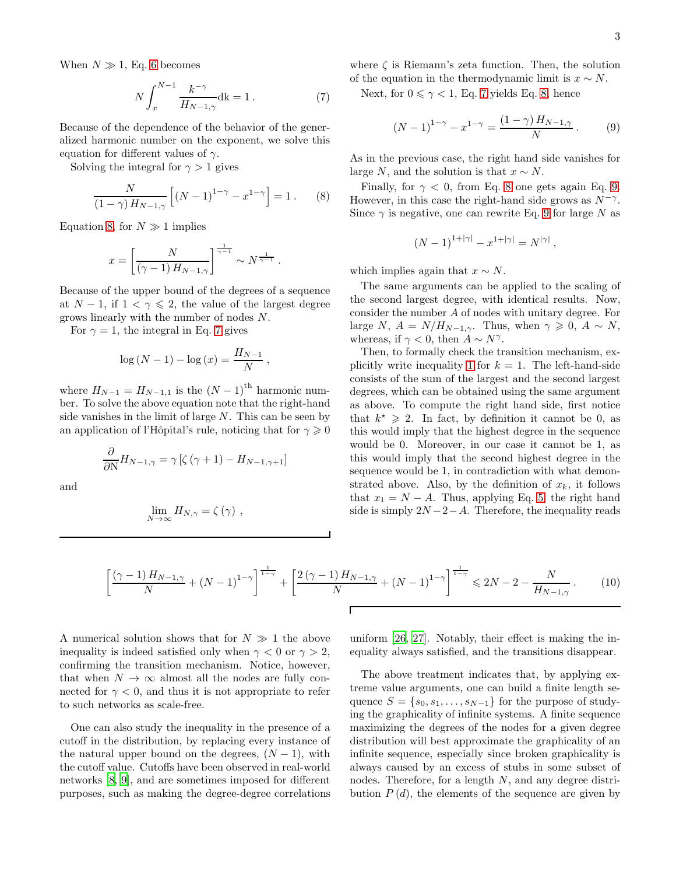When  $N \gg 1$ , Eq. [6](#page-2-1) becomes

<span id="page-3-1"></span>
$$
N \int_{x}^{N-1} \frac{k^{-\gamma}}{H_{N-1,\gamma}} \, \mathrm{d}k = 1 \,. \tag{7}
$$

Because of the dependence of the behavior of the generalized harmonic number on the exponent, we solve this equation for different values of  $\gamma$ .

Solving the integral for  $\gamma > 1$  gives

<span id="page-3-0"></span>
$$
\frac{N}{(1-\gamma)H_{N-1,\gamma}}\left[ (N-1)^{1-\gamma} - x^{1-\gamma} \right] = 1.
$$
 (8)

Equation [8,](#page-3-0) for  $N \gg 1$  implies

$$
x = \left[\frac{N}{\left(\gamma - 1\right)H_{N-1,\gamma}}\right]^{\frac{1}{\gamma - 1}} \sim N^{\frac{1}{\gamma - 1}}.
$$

Because of the upper bound of the degrees of a sequence at  $N-1$ , if  $1 < \gamma \leq 2$ , the value of the largest degree grows linearly with the number of nodes N.

For  $\gamma = 1$ , the integral in Eq. [7](#page-3-1) gives

$$
\log (N - 1) - \log (x) = \frac{H_{N-1}}{N},
$$

where  $H_{N-1} = H_{N-1,1}$  is the  $(N-1)$ <sup>th</sup> harmonic number. To solve the above equation note that the right-hand side vanishes in the limit of large  $N$ . This can be seen by an application of l'Hôpital's rule, noticing that for  $\gamma \geq 0$ 

$$
\frac{\partial}{\partial N}H_{N-1,\gamma} = \gamma \left[\zeta(\gamma + 1) - H_{N-1,\gamma+1}\right]
$$

and

$$
\lim_{N\to\infty}H_{N,\gamma}=\zeta\left(\gamma\right)\,,
$$

where  $\zeta$  is Riemann's zeta function. Then, the solution of the equation in the thermodynamic limit is  $x \sim N$ .

Next, for  $0 \le \gamma < 1$ , Eq. [7](#page-3-1) yields Eq. [8,](#page-3-0) hence

<span id="page-3-2"></span>
$$
(N-1)^{1-\gamma} - x^{1-\gamma} = \frac{(1-\gamma) H_{N-1,\gamma}}{N} \,. \tag{9}
$$

As in the previous case, the right hand side vanishes for large N, and the solution is that  $x \sim N$ .

Finally, for  $\gamma < 0$ , from Eq. [8](#page-3-0) one gets again Eq. [9.](#page-3-2) However, in this case the right-hand side grows as  $N^{-\gamma}$ . Since  $\gamma$  is negative, one can rewrite Eq. [9](#page-3-2) for large N as

$$
(N-1)^{1+|\gamma|} - x^{1+|\gamma|} = N^{|\gamma|},
$$

which implies again that  $x \sim N$ .

The same arguments can be applied to the scaling of the second largest degree, with identical results. Now, consider the number A of nodes with unitary degree. For large N,  $A = N/H_{N-1,\gamma}$ . Thus, when  $\gamma \geq 0$ ,  $A \sim N$ , whereas, if  $\gamma < 0$ , then  $A \sim N^{\gamma}$ .

Then, to formally check the transition mechanism, ex-plicitly write inequality [1](#page-1-1) for  $k = 1$ . The left-hand-side consists of the sum of the largest and the second largest degrees, which can be obtained using the same argument as above. To compute the right hand side, first notice that  $k^* \geq 2$ . In fact, by definition it cannot be 0, as this would imply that the highest degree in the sequence would be 0. Moreover, in our case it cannot be 1, as this would imply that the second highest degree in the sequence would be 1, in contradiction with what demonstrated above. Also, by the definition of  $x_k$ , it follows that  $x_1 = N - A$ . Thus, applying Eq. [5,](#page-1-2) the right hand side is simply  $2N-2-A$ . Therefore, the inequality reads

$$
\left[\frac{(\gamma-1)H_{N-1,\gamma}}{N} + (N-1)^{1-\gamma}\right]^{\frac{1}{1-\gamma}} + \left[\frac{2(\gamma-1)H_{N-1,\gamma}}{N} + (N-1)^{1-\gamma}\right]^{\frac{1}{1-\gamma}} \le 2N - 2 - \frac{N}{H_{N-1,\gamma}}.
$$
 (10)

A numerical solution shows that for  $N \gg 1$  the above inequality is indeed satisfied only when  $\gamma < 0$  or  $\gamma > 2$ . confirming the transition mechanism. Notice, however, that when  $N \to \infty$  almost all the nodes are fully connected for  $\gamma < 0$ , and thus it is not appropriate to refer to such networks as scale-free.

One can also study the inequality in the presence of a cutoff in the distribution, by replacing every instance of the natural upper bound on the degrees,  $(N-1)$ , with the cutoff value. Cutoffs have been observed in real-world networks [\[8,](#page-4-19) [9\]](#page-4-6), and are sometimes imposed for different purposes, such as making the degree-degree correlations

uniform [\[26,](#page-4-20) [27\]](#page-4-21). Notably, their effect is making the inequality always satisfied, and the transitions disappear.

The above treatment indicates that, by applying extreme value arguments, one can build a finite length sequence  $S = \{s_0, s_1, \ldots, s_{N-1}\}\$ for the purpose of studying the graphicality of infinite systems. A finite sequence maximizing the degrees of the nodes for a given degree distribution will best approximate the graphicality of an infinite sequence, especially since broken graphicality is always caused by an excess of stubs in some subset of nodes. Therefore, for a length N, and any degree distribution  $P(d)$ , the elements of the sequence are given by